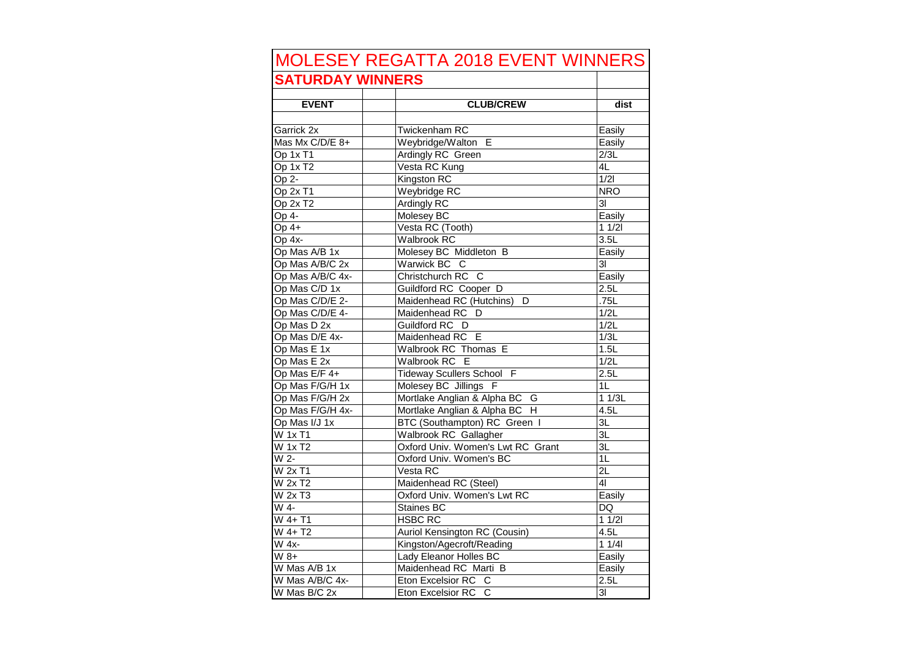| <b>MOLESEY REGATTA 2018 EVENT WINNERS</b> |                                   |                         |  |
|-------------------------------------------|-----------------------------------|-------------------------|--|
| <b>SATURDAY WINNERS</b>                   |                                   |                         |  |
| <b>EVENT</b>                              | <b>CLUB/CREW</b>                  | dist                    |  |
|                                           |                                   |                         |  |
| Garrick 2x                                | <b>Twickenham RC</b>              | Easily                  |  |
| Mas Mx C/D/E 8+                           | Weybridge/Walton E                | Easily                  |  |
| Op 1x T1                                  | Ardingly RC Green                 | $\overline{2/3L}$       |  |
| Op 1x T <sub>2</sub>                      | Vesta RC Kung                     | 4L                      |  |
| Op 2-                                     | Kingston RC                       | 1/21                    |  |
| Op 2x T1                                  | Weybridge RC                      | <b>NRO</b>              |  |
| Op 2x T2                                  | Ardingly RC                       | $\overline{3}$          |  |
| Op 4-                                     | Molesey BC                        | Easily                  |  |
| Op $4+$                                   | Vesta RC (Tooth)                  | 11/21                   |  |
| Op 4x-                                    | Walbrook RC                       | 3.5L                    |  |
| Op Mas A/B 1x                             | Molesey BC Middleton B            | Easily                  |  |
| Op Mas A/B/C 2x                           | Warwick BC C                      | 31                      |  |
| Op Mas A/B/C 4x-                          | Christchurch RC<br>C              | Easily                  |  |
| Op Mas C/D 1x                             | Guildford RC Cooper D             | 2.5L                    |  |
| Op Mas C/D/E 2-                           | Maidenhead RC (Hutchins)<br>D     | .75L                    |  |
| Op Mas C/D/E 4-                           | Maidenhead RC<br>D                | 1/2L                    |  |
| Op Mas D 2x                               | Guildford RC D                    | 1/2L                    |  |
| Op Mas D/E 4x-                            | Maidenhead RC E                   | 1/3L                    |  |
| Op Mas E 1x                               | Walbrook RC Thomas E              | 1.5L                    |  |
| Op Mas E 2x                               | Walbrook RC<br>E                  | 1/2L                    |  |
| Op Mas E/F 4+                             | Tideway Scullers School F         | 2.5L                    |  |
| Op Mas F/G/H 1x                           | Molesey BC Jillings<br>F          | 1L                      |  |
| Op Mas F/G/H 2x                           | Mortlake Anglian & Alpha BC G     | 11/3L                   |  |
| Op Mas F/G/H 4x-                          | Mortlake Anglian & Alpha BC H     | 4.5L                    |  |
| Op Mas I/J 1x                             | BTC (Southampton) RC Green I      | 3L                      |  |
| W 1x T1                                   | Walbrook RC Gallagher             | ЗL                      |  |
| W 1x T2                                   | Oxford Univ. Women's Lwt RC Grant | 3L                      |  |
| W 2-                                      | Oxford Univ. Women's BC           | 1L                      |  |
| W 2x T1                                   | Vesta RC                          | 2L                      |  |
| W 2x T2                                   | Maidenhead RC (Steel)             | 41                      |  |
| W 2x T3                                   | Oxford Univ. Women's Lwt RC       | Easily                  |  |
| W 4-                                      | Staines BC                        | DQ                      |  |
| W 4+ T1                                   | <b>HSBC RC</b>                    | 11/21                   |  |
| W 4+ T2                                   | Auriol Kensington RC (Cousin)     | 4.5L                    |  |
| W 4x-                                     | Kingston/Agecroft/Reading         | 11/41                   |  |
| W 8+                                      | Lady Eleanor Holles BC            | Easily                  |  |
| $\overline{W}$ Mas A/B 1x                 | Maidenhead RC Marti B             | Easily                  |  |
| W Mas A/B/C 4x-                           | Eton Excelsior RC C               | 2.5L                    |  |
| W Mas B/C 2x                              | $\mathbf{C}$<br>Eton Excelsior RC | $\overline{\mathsf{3}}$ |  |